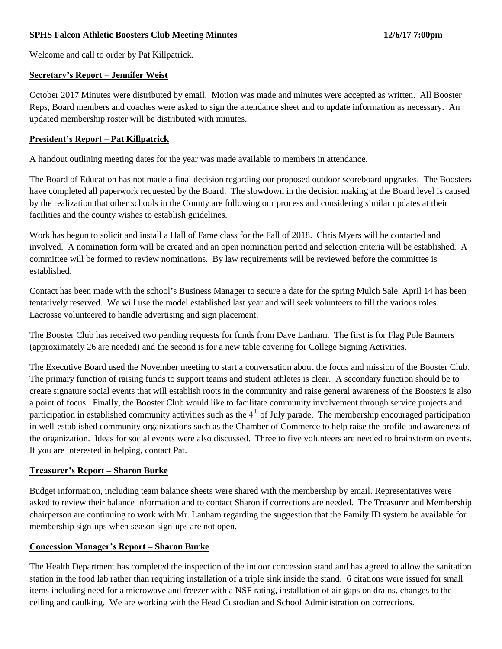### **SPHS Falcon Athletic Boosters Club Meeting Minutes 12/6/17 7:00pm**

Welcome and call to order by Pat Killpatrick.

#### **Secretary's Report – Jennifer Weist**

October 2017 Minutes were distributed by email. Motion was made and minutes were accepted as written. All Booster Reps, Board members and coaches were asked to sign the attendance sheet and to update information as necessary. An updated membership roster will be distributed with minutes.

#### **President's Report – Pat Killpatrick**

A handout outlining meeting dates for the year was made available to members in attendance.

The Board of Education has not made a final decision regarding our proposed outdoor scoreboard upgrades. The Boosters have completed all paperwork requested by the Board. The slowdown in the decision making at the Board level is caused by the realization that other schools in the County are following our process and considering similar updates at their facilities and the county wishes to establish guidelines.

Work has begun to solicit and install a Hall of Fame class for the Fall of 2018. Chris Myers will be contacted and involved. A nomination form will be created and an open nomination period and selection criteria will be established. A committee will be formed to review nominations. By law requirements will be reviewed before the committee is established.

Contact has been made with the school's Business Manager to secure a date for the spring Mulch Sale. April 14 has been tentatively reserved. We will use the model established last year and will seek volunteers to fill the various roles. Lacrosse volunteered to handle advertising and sign placement.

The Booster Club has received two pending requests for funds from Dave Lanham. The first is for Flag Pole Banners (approximately 26 are needed) and the second is for a new table covering for College Signing Activities.

The Executive Board used the November meeting to start a conversation about the focus and mission of the Booster Club. The primary function of raising funds to support teams and student athletes is clear. A secondary function should be to create signature social events that will establish roots in the community and raise general awareness of the Boosters is also a point of focus. Finally, the Booster Club would like to facilitate community involvement through service projects and participation in established community activities such as the  $4<sup>th</sup>$  of July parade. The membership encouraged participation in well-established community organizations such as the Chamber of Commerce to help raise the profile and awareness of the organization. Ideas for social events were also discussed. Three to five volunteers are needed to brainstorm on events. If you are interested in helping, contact Pat.

#### **Treasurer's Report – Sharon Burke**

Budget information, including team balance sheets were shared with the membership by email. Representatives were asked to review their balance information and to contact Sharon if corrections are needed. The Treasurer and Membership chairperson are continuing to work with Mr. Lanham regarding the suggestion that the Family ID system be available for membership sign-ups when season sign-ups are not open.

#### **Concession Manager's Report – Sharon Burke**

The Health Department has completed the inspection of the indoor concession stand and has agreed to allow the sanitation station in the food lab rather than requiring installation of a triple sink inside the stand. 6 citations were issued for small items including need for a microwave and freezer with a NSF rating, installation of air gaps on drains, changes to the ceiling and caulking. We are working with the Head Custodian and School Administration on corrections.